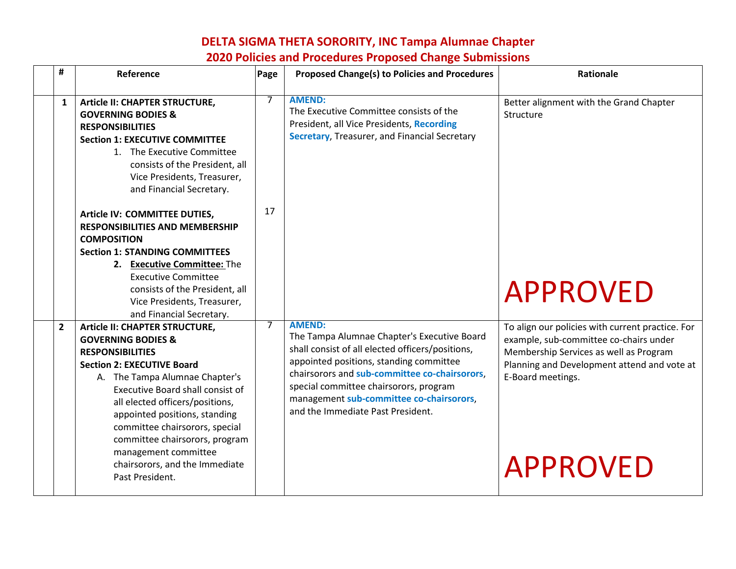| #              | Reference                                                                                                                                                                                                                                                                                                                                     | Page | <b>Proposed Change(s) to Policies and Procedures</b>                                                                                                                                                                                                                                                                                    | <b>Rationale</b>                                                                                                                                                                                         |
|----------------|-----------------------------------------------------------------------------------------------------------------------------------------------------------------------------------------------------------------------------------------------------------------------------------------------------------------------------------------------|------|-----------------------------------------------------------------------------------------------------------------------------------------------------------------------------------------------------------------------------------------------------------------------------------------------------------------------------------------|----------------------------------------------------------------------------------------------------------------------------------------------------------------------------------------------------------|
| $\mathbf{1}$   | Article II: CHAPTER STRUCTURE,<br><b>GOVERNING BODIES &amp;</b><br><b>RESPONSIBILITIES</b><br><b>Section 1: EXECUTIVE COMMITTEE</b><br>1. The Executive Committee<br>consists of the President, all<br>Vice Presidents, Treasurer,<br>and Financial Secretary.                                                                                | 7    | <b>AMEND:</b><br>The Executive Committee consists of the<br>President, all Vice Presidents, Recording<br>Secretary, Treasurer, and Financial Secretary                                                                                                                                                                                  | Better alignment with the Grand Chapter<br>Structure                                                                                                                                                     |
|                | Article IV: COMMITTEE DUTIES,<br><b>RESPONSIBILITIES AND MEMBERSHIP</b><br><b>COMPOSITION</b><br><b>Section 1: STANDING COMMITTEES</b><br>2. Executive Committee: The<br><b>Executive Committee</b><br>consists of the President, all<br>Vice Presidents, Treasurer,<br>and Financial Secretary.                                              | 17   |                                                                                                                                                                                                                                                                                                                                         | <b>APPROVED</b>                                                                                                                                                                                          |
| $\overline{2}$ | Article II: CHAPTER STRUCTURE,<br><b>GOVERNING BODIES &amp;</b><br><b>RESPONSIBILITIES</b><br><b>Section 2: EXECUTIVE Board</b><br>A. The Tampa Alumnae Chapter's<br>Executive Board shall consist of<br>all elected officers/positions,<br>appointed positions, standing<br>committee chairsorors, special<br>committee chairsorors, program | 7    | <b>AMEND:</b><br>The Tampa Alumnae Chapter's Executive Board<br>shall consist of all elected officers/positions,<br>appointed positions, standing committee<br>chairsorors and sub-committee co-chairsorors,<br>special committee chairsorors, program<br>management sub-committee co-chairsorors,<br>and the Immediate Past President. | To align our policies with current practice. For<br>example, sub-committee co-chairs under<br>Membership Services as well as Program<br>Planning and Development attend and vote at<br>E-Board meetings. |
|                | management committee<br>chairsorors, and the Immediate<br>Past President.                                                                                                                                                                                                                                                                     |      |                                                                                                                                                                                                                                                                                                                                         | <b>APPROVED</b>                                                                                                                                                                                          |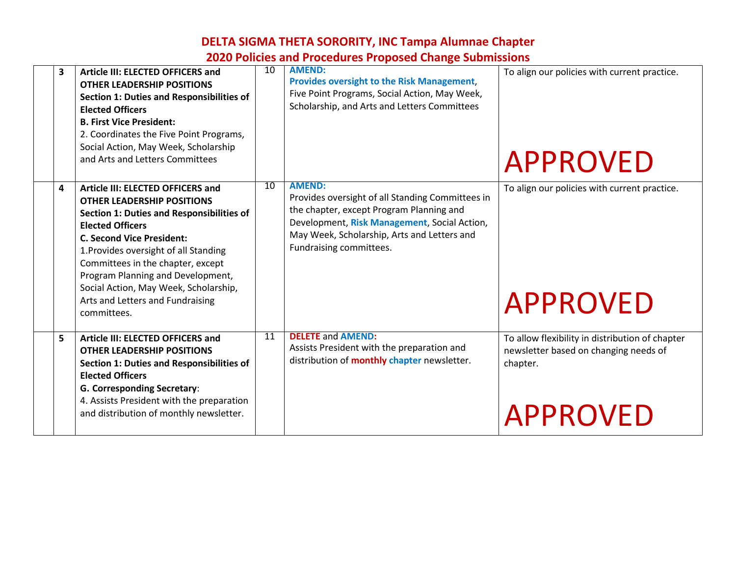# **DELTA SIGMA THETA SORORITY, INC Tampa Alumnae Chapter**

| <b>2020 Policies and Procedures Proposed Change Submissions</b> |  |  |
|-----------------------------------------------------------------|--|--|
|-----------------------------------------------------------------|--|--|

| 3 | Article III: ELECTED OFFICERS and<br><b>OTHER LEADERSHIP POSITIONS</b><br><b>Section 1: Duties and Responsibilities of</b><br><b>Elected Officers</b><br><b>B. First Vice President:</b><br>2. Coordinates the Five Point Programs,<br>Social Action, May Week, Scholarship<br>and Arts and Letters Committees                                                                                           | 10 | <b>AMEND:</b><br><b>Provides oversight to the Risk Management,</b><br>Five Point Programs, Social Action, May Week,<br>Scholarship, and Arts and Letters Committees                                                                     | To align our policies with current practice.<br><b>APPROVED</b>                                                         |
|---|----------------------------------------------------------------------------------------------------------------------------------------------------------------------------------------------------------------------------------------------------------------------------------------------------------------------------------------------------------------------------------------------------------|----|-----------------------------------------------------------------------------------------------------------------------------------------------------------------------------------------------------------------------------------------|-------------------------------------------------------------------------------------------------------------------------|
| 4 | Article III: ELECTED OFFICERS and<br><b>OTHER LEADERSHIP POSITIONS</b><br><b>Section 1: Duties and Responsibilities of</b><br><b>Elected Officers</b><br><b>C. Second Vice President:</b><br>1. Provides oversight of all Standing<br>Committees in the chapter, except<br>Program Planning and Development,<br>Social Action, May Week, Scholarship,<br>Arts and Letters and Fundraising<br>committees. | 10 | <b>AMEND:</b><br>Provides oversight of all Standing Committees in<br>the chapter, except Program Planning and<br>Development, Risk Management, Social Action,<br>May Week, Scholarship, Arts and Letters and<br>Fundraising committees. | To align our policies with current practice.<br><b>APPROVED</b>                                                         |
| 5 | Article III: ELECTED OFFICERS and<br><b>OTHER LEADERSHIP POSITIONS</b><br><b>Section 1: Duties and Responsibilities of</b><br><b>Elected Officers</b><br><b>G. Corresponding Secretary:</b><br>4. Assists President with the preparation<br>and distribution of monthly newsletter.                                                                                                                      | 11 | <b>DELETE and AMEND:</b><br>Assists President with the preparation and<br>distribution of <b>monthly chapter</b> newsletter.                                                                                                            | To allow flexibility in distribution of chapter<br>newsletter based on changing needs of<br>chapter.<br><b>APPROVED</b> |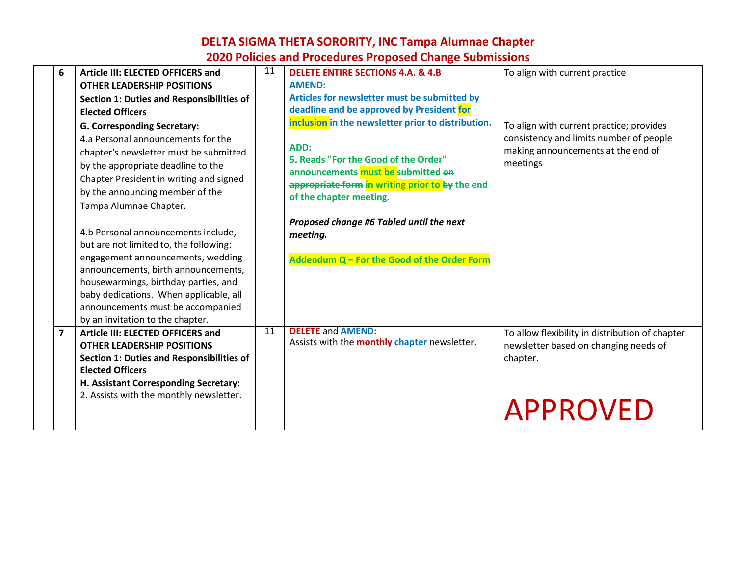| 6              | Article III: ELECTED OFFICERS and                | 11 | <b>DELETE ENTIRE SECTIONS 4.A. &amp; 4.B</b>        | To align with current practice                  |
|----------------|--------------------------------------------------|----|-----------------------------------------------------|-------------------------------------------------|
|                | <b>OTHER LEADERSHIP POSITIONS</b>                |    | <b>AMEND:</b>                                       |                                                 |
|                | <b>Section 1: Duties and Responsibilities of</b> |    | Articles for newsletter must be submitted by        |                                                 |
|                | <b>Elected Officers</b>                          |    | deadline and be approved by President for           |                                                 |
|                | <b>G. Corresponding Secretary:</b>               |    | inclusion in the newsletter prior to distribution.  | To align with current practice; provides        |
|                | 4.a Personal announcements for the               |    |                                                     | consistency and limits number of people         |
|                | chapter's newsletter must be submitted           |    | ADD:                                                | making announcements at the end of              |
|                | by the appropriate deadline to the               |    | 5. Reads "For the Good of the Order"                | meetings                                        |
|                | Chapter President in writing and signed          |    | announcements must be submitted on                  |                                                 |
|                | by the announcing member of the                  |    | appropriate form in writing prior to by the end     |                                                 |
|                | Tampa Alumnae Chapter.                           |    | of the chapter meeting.                             |                                                 |
|                |                                                  |    |                                                     |                                                 |
|                | 4.b Personal announcements include,              |    | Proposed change #6 Tabled until the next            |                                                 |
|                | but are not limited to, the following:           |    | meeting.                                            |                                                 |
|                | engagement announcements, wedding                |    | Addendum Q - For the Good of the Order Form         |                                                 |
|                | announcements, birth announcements,              |    |                                                     |                                                 |
|                | housewarmings, birthday parties, and             |    |                                                     |                                                 |
|                | baby dedications. When applicable, all           |    |                                                     |                                                 |
|                | announcements must be accompanied                |    |                                                     |                                                 |
|                | by an invitation to the chapter.                 |    |                                                     |                                                 |
| $\overline{7}$ | Article III: ELECTED OFFICERS and                | 11 | <b>DELETE and AMEND:</b>                            | To allow flexibility in distribution of chapter |
|                | <b>OTHER LEADERSHIP POSITIONS</b>                |    | Assists with the <b>monthly chapter</b> newsletter. | newsletter based on changing needs of           |
|                | <b>Section 1: Duties and Responsibilities of</b> |    |                                                     | chapter.                                        |
|                | <b>Elected Officers</b>                          |    |                                                     |                                                 |
|                | H. Assistant Corresponding Secretary:            |    |                                                     |                                                 |
|                | 2. Assists with the monthly newsletter.          |    |                                                     |                                                 |
|                |                                                  |    |                                                     | <b>APPROVED</b>                                 |
|                |                                                  |    |                                                     |                                                 |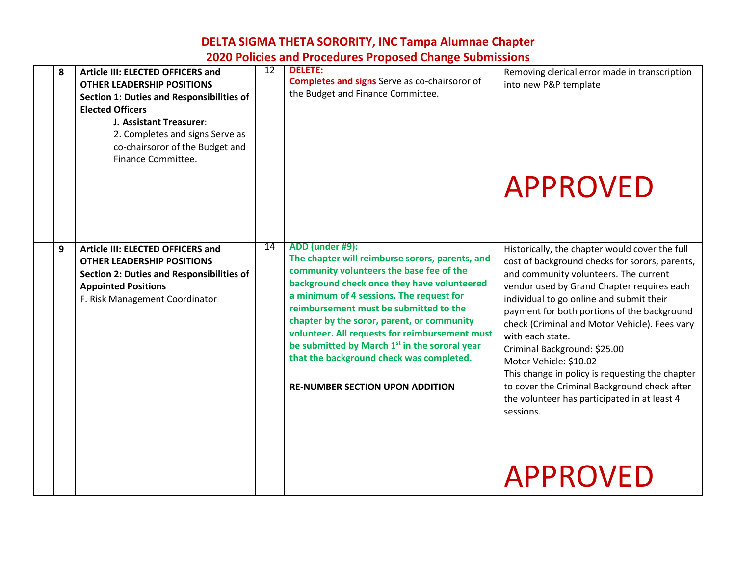#### **8 Article III: ELECTED OFFICERS and OTHER LEADERSHIP POSITIONS Section 1: Duties and Responsibilities of Elected Officers J. Assistant Treasurer**: 2. Completes and signs Serve as co-chairsoror of the Budget and Finance Committee. 12 **DELETE: Completes and signs** Serve as co-chairsoror of the Budget and Finance Committee. Removing clerical error made in transcription into new P&P template APPROVED **9 Article III: ELECTED OFFICERS and OTHER LEADERSHIP POSITIONS Section 2: Duties and Responsibilities of Appointed Positions** F. Risk Management Coordinator 14 **ADD (under #9): The chapter will reimburse sorors, parents, and community volunteers the base fee of the background check once they have volunteered a minimum of 4 sessions. The request for reimbursement must be submitted to the chapter by the soror, parent, or community volunteer. All requests for reimbursement must be submitted by March 1st in the sororal year that the background check was completed. RE-NUMBER SECTION UPON ADDITION** Historically, the chapter would cover the full cost of background checks for sorors, parents, and community volunteers. The current vendor used by Grand Chapter requires each individual to go online and submit their payment for both portions of the background check (Criminal and Motor Vehicle). Fees vary with each state. Criminal Background: \$25.00 Motor Vehicle: \$10.02 This change in policy is requesting the chapter to cover the Criminal Background check after the volunteer has participated in at least 4 sessions. APPROVED

# **DELTA SIGMA THETA SORORITY, INC Tampa Alumnae Chapter**

**2020 Policies and Procedures Proposed Change Submissions**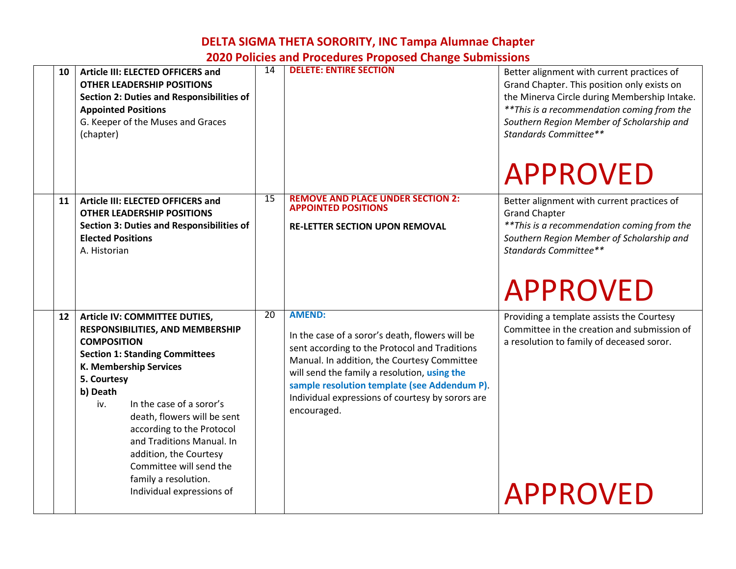|    |                                                                                                                                                                                                                                                                                                                                                                                                |                 | ZUZU I UNUKS ANU I TUCKUM KS I TUPUSKU CNANKK JUDINISSIONS                                                                                                                                                                                                                                                                          |                                                                                                                                                                                                                                                                                   |
|----|------------------------------------------------------------------------------------------------------------------------------------------------------------------------------------------------------------------------------------------------------------------------------------------------------------------------------------------------------------------------------------------------|-----------------|-------------------------------------------------------------------------------------------------------------------------------------------------------------------------------------------------------------------------------------------------------------------------------------------------------------------------------------|-----------------------------------------------------------------------------------------------------------------------------------------------------------------------------------------------------------------------------------------------------------------------------------|
| 10 | Article III: ELECTED OFFICERS and<br><b>OTHER LEADERSHIP POSITIONS</b><br><b>Section 2: Duties and Responsibilities of</b><br><b>Appointed Positions</b><br>G. Keeper of the Muses and Graces<br>(chapter)                                                                                                                                                                                     | 14              | <b>DELETE: ENTIRE SECTION</b>                                                                                                                                                                                                                                                                                                       | Better alignment with current practices of<br>Grand Chapter. This position only exists on<br>the Minerva Circle during Membership Intake.<br>** This is a recommendation coming from the<br>Southern Region Member of Scholarship and<br>Standards Committee**<br><b>APPROVED</b> |
| 11 | Article III: ELECTED OFFICERS and<br><b>OTHER LEADERSHIP POSITIONS</b><br><b>Section 3: Duties and Responsibilities of</b><br><b>Elected Positions</b><br>A. Historian                                                                                                                                                                                                                         | 15              | <b>REMOVE AND PLACE UNDER SECTION 2:</b><br><b>APPOINTED POSITIONS</b><br><b>RE-LETTER SECTION UPON REMOVAL</b>                                                                                                                                                                                                                     | Better alignment with current practices of<br><b>Grand Chapter</b><br>** This is a recommendation coming from the<br>Southern Region Member of Scholarship and<br>Standards Committee**<br><b>APPROVED</b>                                                                        |
| 12 | Article IV: COMMITTEE DUTIES,<br>RESPONSIBILITIES, AND MEMBERSHIP<br><b>COMPOSITION</b><br><b>Section 1: Standing Committees</b><br>K. Membership Services<br>5. Courtesy<br>b) Death<br>In the case of a soror's<br>iv.<br>death, flowers will be sent<br>according to the Protocol<br>and Traditions Manual. In<br>addition, the Courtesy<br>Committee will send the<br>family a resolution. | $\overline{20}$ | <b>AMEND:</b><br>In the case of a soror's death, flowers will be<br>sent according to the Protocol and Traditions<br>Manual. In addition, the Courtesy Committee<br>will send the family a resolution, using the<br>sample resolution template (see Addendum P).<br>Individual expressions of courtesy by sorors are<br>encouraged. | Providing a template assists the Courtesy<br>Committee in the creation and submission of<br>a resolution to family of deceased soror.                                                                                                                                             |
|    | Individual expressions of                                                                                                                                                                                                                                                                                                                                                                      |                 |                                                                                                                                                                                                                                                                                                                                     | <b>APPROVED</b>                                                                                                                                                                                                                                                                   |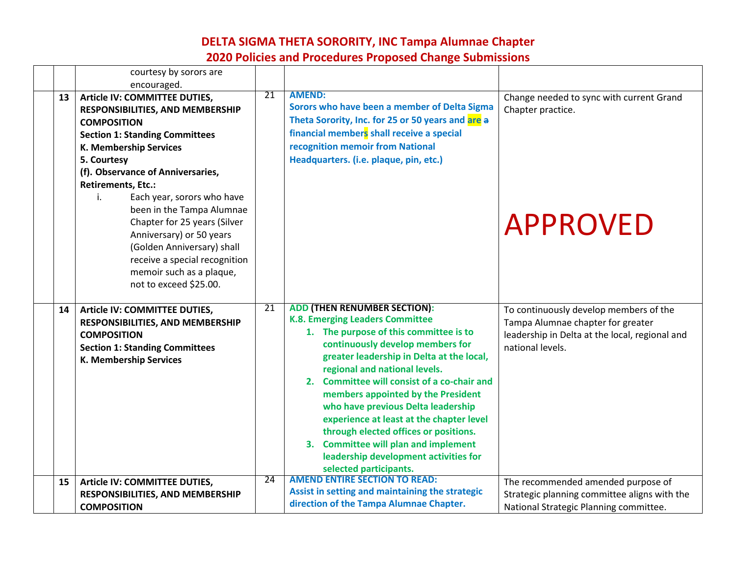|    | courtesy by sorors are<br>encouraged.                                                                                                                                                                                                                                                                                                                                                                                                                                                         |    |                                                                                                                                                                                                                                                                                                                                                                                                                                                                                                                                                               |                                                                                                                                                   |
|----|-----------------------------------------------------------------------------------------------------------------------------------------------------------------------------------------------------------------------------------------------------------------------------------------------------------------------------------------------------------------------------------------------------------------------------------------------------------------------------------------------|----|---------------------------------------------------------------------------------------------------------------------------------------------------------------------------------------------------------------------------------------------------------------------------------------------------------------------------------------------------------------------------------------------------------------------------------------------------------------------------------------------------------------------------------------------------------------|---------------------------------------------------------------------------------------------------------------------------------------------------|
| 13 | Article IV: COMMITTEE DUTIES,<br>RESPONSIBILITIES, AND MEMBERSHIP<br><b>COMPOSITION</b><br><b>Section 1: Standing Committees</b><br>K. Membership Services<br>5. Courtesy<br>(f). Observance of Anniversaries,<br><b>Retirements, Etc.:</b><br>Each year, sorors who have<br>i.<br>been in the Tampa Alumnae<br>Chapter for 25 years (Silver<br>Anniversary) or 50 years<br>(Golden Anniversary) shall<br>receive a special recognition<br>memoir such as a plaque,<br>not to exceed \$25.00. | 21 | <b>AMEND:</b><br>Sorors who have been a member of Delta Sigma<br>Theta Sorority, Inc. for 25 or 50 years and are a<br>financial members shall receive a special<br>recognition memoir from National<br>Headquarters. (i.e. plaque, pin, etc.)                                                                                                                                                                                                                                                                                                                 | Change needed to sync with current Grand<br>Chapter practice.<br><b>APPROVED</b>                                                                  |
| 14 | Article IV: COMMITTEE DUTIES,<br>RESPONSIBILITIES, AND MEMBERSHIP<br><b>COMPOSITION</b><br><b>Section 1: Standing Committees</b><br>K. Membership Services                                                                                                                                                                                                                                                                                                                                    | 21 | <b>ADD (THEN RENUMBER SECTION):</b><br>K.8. Emerging Leaders Committee<br>1. The purpose of this committee is to<br>continuously develop members for<br>greater leadership in Delta at the local,<br>regional and national levels.<br>2. Committee will consist of a co-chair and<br>members appointed by the President<br>who have previous Delta leadership<br>experience at least at the chapter level<br>through elected offices or positions.<br>3. Committee will plan and implement<br>leadership development activities for<br>selected participants. | To continuously develop members of the<br>Tampa Alumnae chapter for greater<br>leadership in Delta at the local, regional and<br>national levels. |
| 15 | Article IV: COMMITTEE DUTIES,<br>RESPONSIBILITIES, AND MEMBERSHIP<br><b>COMPOSITION</b>                                                                                                                                                                                                                                                                                                                                                                                                       | 24 | <b>AMEND ENTIRE SECTION TO READ:</b><br>Assist in setting and maintaining the strategic<br>direction of the Tampa Alumnae Chapter.                                                                                                                                                                                                                                                                                                                                                                                                                            | The recommended amended purpose of<br>Strategic planning committee aligns with the<br>National Strategic Planning committee.                      |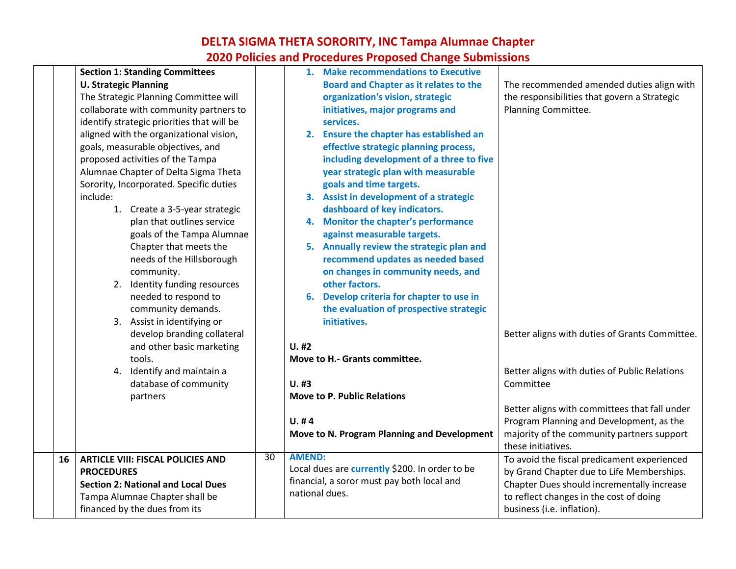| <b>Section 1: Standing Committees</b><br><b>U. Strategic Planning</b><br>The Strategic Planning Committee will<br>collaborate with community partners to<br>identify strategic priorities that will be<br>aligned with the organizational vision, | 1. Make recommendations to Executive<br><b>Board and Chapter as it relates to the</b><br>organization's vision, strategic<br>initiatives, major programs and<br>services.<br>2. Ensure the chapter has established an       | The recommended amended duties align with<br>the responsibilities that govern a Strategic<br>Planning Committee.                                                                                                                      |
|---------------------------------------------------------------------------------------------------------------------------------------------------------------------------------------------------------------------------------------------------|-----------------------------------------------------------------------------------------------------------------------------------------------------------------------------------------------------------------------------|---------------------------------------------------------------------------------------------------------------------------------------------------------------------------------------------------------------------------------------|
| goals, measurable objectives, and<br>proposed activities of the Tampa<br>Alumnae Chapter of Delta Sigma Theta<br>Sorority, Incorporated. Specific duties<br>include:                                                                              | effective strategic planning process,<br>including development of a three to five<br>year strategic plan with measurable<br>goals and time targets.<br>3. Assist in development of a strategic                              |                                                                                                                                                                                                                                       |
| 1. Create a 3-5-year strategic<br>plan that outlines service<br>goals of the Tampa Alumnae<br>Chapter that meets the<br>needs of the Hillsborough<br>community.                                                                                   | dashboard of key indicators.<br>4. Monitor the chapter's performance<br>against measurable targets.<br>5. Annually review the strategic plan and<br>recommend updates as needed based<br>on changes in community needs, and |                                                                                                                                                                                                                                       |
| 2. Identity funding resources<br>needed to respond to<br>community demands.<br>3. Assist in identifying or<br>develop branding collateral<br>and other basic marketing                                                                            | other factors.<br>6. Develop criteria for chapter to use in<br>the evaluation of prospective strategic<br>initiatives.<br>$U.$ #2                                                                                           | Better aligns with duties of Grants Committee.                                                                                                                                                                                        |
| tools.<br>4. Identify and maintain a<br>database of community<br>partners                                                                                                                                                                         | Move to H.- Grants committee.<br>$U.$ #3<br><b>Move to P. Public Relations</b><br>U. #4<br>Move to N. Program Planning and Development                                                                                      | Better aligns with duties of Public Relations<br>Committee<br>Better aligns with committees that fall under<br>Program Planning and Development, as the<br>majority of the community partners support                                 |
| 16<br><b>ARTICLE VIII: FISCAL POLICIES AND</b><br><b>PROCEDURES</b><br><b>Section 2: National and Local Dues</b><br>Tampa Alumnae Chapter shall be<br>financed by the dues from its                                                               | <b>AMEND:</b><br>30<br>Local dues are currently \$200. In order to be<br>financial, a soror must pay both local and<br>national dues.                                                                                       | these initiatives.<br>To avoid the fiscal predicament experienced<br>by Grand Chapter due to Life Memberships.<br>Chapter Dues should incrementally increase<br>to reflect changes in the cost of doing<br>business (i.e. inflation). |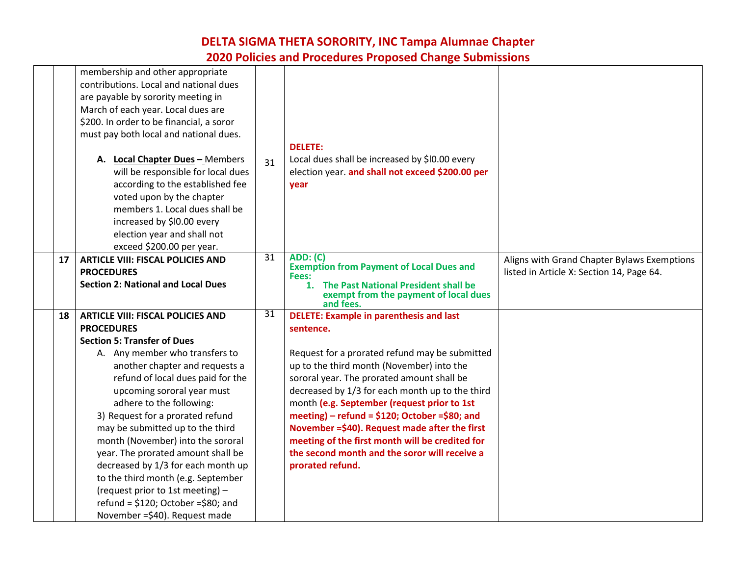|    | membership and other appropriate<br>contributions. Local and national dues<br>are payable by sorority meeting in                                                                                       |    |                                                                                                                                                                    |                                                                                          |
|----|--------------------------------------------------------------------------------------------------------------------------------------------------------------------------------------------------------|----|--------------------------------------------------------------------------------------------------------------------------------------------------------------------|------------------------------------------------------------------------------------------|
|    | March of each year. Local dues are<br>\$200. In order to be financial, a soror                                                                                                                         |    |                                                                                                                                                                    |                                                                                          |
|    | must pay both local and national dues.                                                                                                                                                                 |    | <b>DELETE:</b>                                                                                                                                                     |                                                                                          |
|    | A. Local Chapter Dues - Members<br>will be responsible for local dues<br>according to the established fee<br>voted upon by the chapter<br>members 1. Local dues shall be<br>increased by \$10.00 every | 31 | Local dues shall be increased by \$10.00 every<br>election year. and shall not exceed \$200.00 per<br>year                                                         |                                                                                          |
|    | election year and shall not<br>exceed \$200.00 per year.                                                                                                                                               |    |                                                                                                                                                                    |                                                                                          |
| 17 | <b>ARTICLE VIII: FISCAL POLICIES AND</b><br><b>PROCEDURES</b><br><b>Section 2: National and Local Dues</b>                                                                                             | 31 | <b>ADD: (C)</b><br><b>Exemption from Payment of Local Dues and</b><br>Fees:<br>The Past National President shall be<br>1.<br>exempt from the payment of local dues | Aligns with Grand Chapter Bylaws Exemptions<br>listed in Article X: Section 14, Page 64. |
| 18 | <b>ARTICLE VIII: FISCAL POLICIES AND</b>                                                                                                                                                               | 31 | and fees.<br><b>DELETE: Example in parenthesis and last</b>                                                                                                        |                                                                                          |
|    | <b>PROCEDURES</b>                                                                                                                                                                                      |    | sentence.                                                                                                                                                          |                                                                                          |
|    | <b>Section 5: Transfer of Dues</b>                                                                                                                                                                     |    |                                                                                                                                                                    |                                                                                          |
|    | A. Any member who transfers to                                                                                                                                                                         |    | Request for a prorated refund may be submitted                                                                                                                     |                                                                                          |
|    | another chapter and requests a                                                                                                                                                                         |    | up to the third month (November) into the                                                                                                                          |                                                                                          |
|    | refund of local dues paid for the                                                                                                                                                                      |    | sororal year. The prorated amount shall be                                                                                                                         |                                                                                          |
|    | upcoming sororal year must<br>adhere to the following:                                                                                                                                                 |    | decreased by 1/3 for each month up to the third<br>month (e.g. September (request prior to 1st                                                                     |                                                                                          |
|    | 3) Request for a prorated refund                                                                                                                                                                       |    | meeting) – refund = $$120;$ October = $$80;$ and                                                                                                                   |                                                                                          |
|    | may be submitted up to the third                                                                                                                                                                       |    | November = \$40). Request made after the first                                                                                                                     |                                                                                          |
|    | month (November) into the sororal                                                                                                                                                                      |    | meeting of the first month will be credited for                                                                                                                    |                                                                                          |
|    | year. The prorated amount shall be                                                                                                                                                                     |    | the second month and the soror will receive a                                                                                                                      |                                                                                          |
|    | decreased by 1/3 for each month up                                                                                                                                                                     |    | prorated refund.                                                                                                                                                   |                                                                                          |
|    | to the third month (e.g. September                                                                                                                                                                     |    |                                                                                                                                                                    |                                                                                          |
|    | (request prior to 1st meeting) -<br>refund = $$120; October = $80; and$                                                                                                                                |    |                                                                                                                                                                    |                                                                                          |
|    | November = \$40). Request made                                                                                                                                                                         |    |                                                                                                                                                                    |                                                                                          |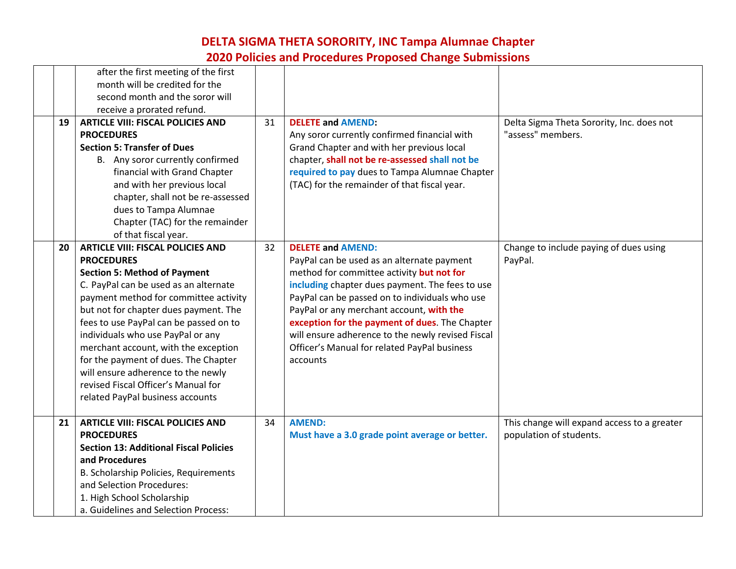|    | after the first meeting of the first<br>month will be credited for the                                                                                                                                                                                                                                                                                                                                                                                                                                          |    |                                                                                                                                                                                                                                                                                                                                                                                                                                         |                                                                        |
|----|-----------------------------------------------------------------------------------------------------------------------------------------------------------------------------------------------------------------------------------------------------------------------------------------------------------------------------------------------------------------------------------------------------------------------------------------------------------------------------------------------------------------|----|-----------------------------------------------------------------------------------------------------------------------------------------------------------------------------------------------------------------------------------------------------------------------------------------------------------------------------------------------------------------------------------------------------------------------------------------|------------------------------------------------------------------------|
|    | second month and the soror will                                                                                                                                                                                                                                                                                                                                                                                                                                                                                 |    |                                                                                                                                                                                                                                                                                                                                                                                                                                         |                                                                        |
|    | receive a prorated refund.                                                                                                                                                                                                                                                                                                                                                                                                                                                                                      |    |                                                                                                                                                                                                                                                                                                                                                                                                                                         |                                                                        |
| 19 | <b>ARTICLE VIII: FISCAL POLICIES AND</b><br><b>PROCEDURES</b><br><b>Section 5: Transfer of Dues</b><br>B. Any soror currently confirmed<br>financial with Grand Chapter<br>and with her previous local                                                                                                                                                                                                                                                                                                          | 31 | <b>DELETE and AMEND:</b><br>Any soror currently confirmed financial with<br>Grand Chapter and with her previous local<br>chapter, shall not be re-assessed shall not be<br>required to pay dues to Tampa Alumnae Chapter<br>(TAC) for the remainder of that fiscal year.                                                                                                                                                                | Delta Sigma Theta Sorority, Inc. does not<br>"assess" members.         |
|    | chapter, shall not be re-assessed<br>dues to Tampa Alumnae<br>Chapter (TAC) for the remainder<br>of that fiscal year.                                                                                                                                                                                                                                                                                                                                                                                           |    |                                                                                                                                                                                                                                                                                                                                                                                                                                         |                                                                        |
| 20 | <b>ARTICLE VIII: FISCAL POLICIES AND</b><br><b>PROCEDURES</b><br><b>Section 5: Method of Payment</b><br>C. PayPal can be used as an alternate<br>payment method for committee activity<br>but not for chapter dues payment. The<br>fees to use PayPal can be passed on to<br>individuals who use PayPal or any<br>merchant account, with the exception<br>for the payment of dues. The Chapter<br>will ensure adherence to the newly<br>revised Fiscal Officer's Manual for<br>related PayPal business accounts | 32 | <b>DELETE and AMEND:</b><br>PayPal can be used as an alternate payment<br>method for committee activity but not for<br>including chapter dues payment. The fees to use<br>PayPal can be passed on to individuals who use<br>PayPal or any merchant account, with the<br>exception for the payment of dues. The Chapter<br>will ensure adherence to the newly revised Fiscal<br>Officer's Manual for related PayPal business<br>accounts | Change to include paying of dues using<br>PayPal.                      |
| 21 | <b>ARTICLE VIII: FISCAL POLICIES AND</b><br><b>PROCEDURES</b><br><b>Section 13: Additional Fiscal Policies</b><br>and Procedures<br>B. Scholarship Policies, Requirements<br>and Selection Procedures:<br>1. High School Scholarship<br>a. Guidelines and Selection Process:                                                                                                                                                                                                                                    | 34 | <b>AMEND:</b><br>Must have a 3.0 grade point average or better.                                                                                                                                                                                                                                                                                                                                                                         | This change will expand access to a greater<br>population of students. |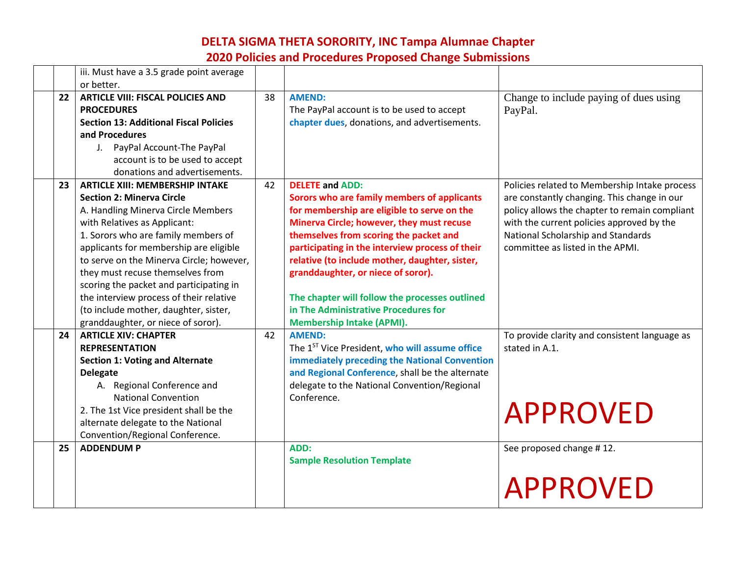|         | iii. Must have a 3.5 grade point average<br>or better.                                                                                                                                                                                                                                                                                                                                                                                                                                 |    |                                                                                                                                                                                                                                                                                                                                                                                                                                                                                      |                                                                                                                                                                                                                                                                      |
|---------|----------------------------------------------------------------------------------------------------------------------------------------------------------------------------------------------------------------------------------------------------------------------------------------------------------------------------------------------------------------------------------------------------------------------------------------------------------------------------------------|----|--------------------------------------------------------------------------------------------------------------------------------------------------------------------------------------------------------------------------------------------------------------------------------------------------------------------------------------------------------------------------------------------------------------------------------------------------------------------------------------|----------------------------------------------------------------------------------------------------------------------------------------------------------------------------------------------------------------------------------------------------------------------|
| $22 \,$ | <b>ARTICLE VIII: FISCAL POLICIES AND</b><br><b>PROCEDURES</b><br><b>Section 13: Additional Fiscal Policies</b><br>and Procedures<br>J. PayPal Account-The PayPal<br>account is to be used to accept<br>donations and advertisements.                                                                                                                                                                                                                                                   | 38 | <b>AMEND:</b><br>The PayPal account is to be used to accept<br>chapter dues, donations, and advertisements.                                                                                                                                                                                                                                                                                                                                                                          | Change to include paying of dues using<br>PayPal.                                                                                                                                                                                                                    |
| 23      | <b>ARTICLE XIII: MEMBERSHIP INTAKE</b><br><b>Section 2: Minerva Circle</b><br>A. Handling Minerva Circle Members<br>with Relatives as Applicant:<br>1. Sorors who are family members of<br>applicants for membership are eligible<br>to serve on the Minerva Circle; however,<br>they must recuse themselves from<br>scoring the packet and participating in<br>the interview process of their relative<br>(to include mother, daughter, sister,<br>granddaughter, or niece of soror). | 42 | <b>DELETE and ADD:</b><br>Sorors who are family members of applicants<br>for membership are eligible to serve on the<br>Minerva Circle; however, they must recuse<br>themselves from scoring the packet and<br>participating in the interview process of their<br>relative (to include mother, daughter, sister,<br>granddaughter, or niece of soror).<br>The chapter will follow the processes outlined<br>in The Administrative Procedures for<br><b>Membership Intake (APMI).</b> | Policies related to Membership Intake process<br>are constantly changing. This change in our<br>policy allows the chapter to remain compliant<br>with the current policies approved by the<br>National Scholarship and Standards<br>committee as listed in the APMI. |
| 24      | <b>ARTICLE XIV: CHAPTER</b><br><b>REPRESENTATION</b><br><b>Section 1: Voting and Alternate</b><br><b>Delegate</b><br>A. Regional Conference and<br><b>National Convention</b><br>2. The 1st Vice president shall be the<br>alternate delegate to the National<br>Convention/Regional Conference.                                                                                                                                                                                       | 42 | <b>AMEND:</b><br>The 1 <sup>ST</sup> Vice President, who will assume office<br>immediately preceding the National Convention<br>and Regional Conference, shall be the alternate<br>delegate to the National Convention/Regional<br>Conference.                                                                                                                                                                                                                                       | To provide clarity and consistent language as<br>stated in A.1.<br><b>APPROVED</b>                                                                                                                                                                                   |
| 25      | <b>ADDENDUM P</b>                                                                                                                                                                                                                                                                                                                                                                                                                                                                      |    | ADD:<br><b>Sample Resolution Template</b>                                                                                                                                                                                                                                                                                                                                                                                                                                            | See proposed change #12.<br><b>APPROVED</b>                                                                                                                                                                                                                          |